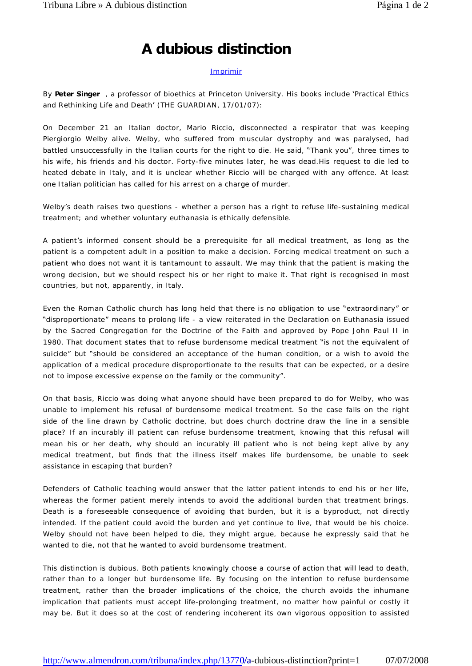## **A dubious distinction**

## Imprimir

By **Peter Singer** , a professor of bioethics at Princeton University. His books include 'Practical Ethics and Rethinking Life and Death' (THE GUARDIAN, 17/01/07):

On December 21 an Italian doctor, Mario Riccio, disconnected a respirator that was keeping Piergiorgio Welby alive. Welby, who suffered from muscular dystrophy and was paralysed, had battled unsuccessfully in the Italian courts for the right to die. He said, "Thank you", three times to his wife, his friends and his doctor. Forty-five minutes later, he was dead.His request to die led to heated debate in Italy, and it is unclear whether Riccio will be charged with any offence. At least one Italian politician has called for his arrest on a charge of murder.

Welby's death raises two questions - whether a person has a right to refuse life-sustaining medical treatment; and whether voluntary euthanasia is ethically defensible.

A patient's informed consent should be a prerequisite for all medical treatment, as long as the patient is a competent adult in a position to make a decision. Forcing medical treatment on such a patient who does not want it is tantamount to assault. We may think that the patient is making the wrong decision, but we should respect his or her right to make it. That right is recognised in most countries, but not, apparently, in Italy.

Even the Roman Catholic church has long held that there is no obligation to use "extraordinary" or "disproportionate" means to prolong life - a view reiterated in the Declaration on Euthanasia issued by the Sacred Congregation for the Doctrine of the Faith and approved by Pope John Paul II in 1980. That document states that to refuse burdensome medical treatment "is not the equivalent of suicide" but "should be considered an acceptance of the human condition, or a wish to avoid the application of a medical procedure disproportionate to the results that can be expected, or a desire not to impose excessive expense on the family or the community".

On that basis, Riccio was doing what anyone should have been prepared to do for Welby, who was unable to implement his refusal of burdensome medical treatment. So the case falls on the right side of the line drawn by Catholic doctrine, but does church doctrine draw the line in a sensible place? If an incurably ill patient can refuse burdensome treatment, knowing that this refusal will mean his or her death, why should an incurably ill patient who is not being kept alive by any medical treatment, but finds that the illness itself makes life burdensome, be unable to seek assistance in escaping that burden?

Defenders of Catholic teaching would answer that the latter patient intends to end his or her life, whereas the former patient merely intends to avoid the additional burden that treatment brings. Death is a foreseeable consequence of avoiding that burden, but it is a byproduct, not directly intended. If the patient could avoid the burden and yet continue to live, that would be his choice. Welby should not have been helped to die, they might argue, because he expressly said that he wanted to die, not that he wanted to avoid burdensome treatment.

This distinction is dubious. Both patients knowingly choose a course of action that will lead to death, rather than to a longer but burdensome life. By focusing on the intention to refuse burdensome treatment, rather than the broader implications of the choice, the church avoids the inhumane implication that patients must accept life-prolonging treatment, no matter how painful or costly it may be. But it does so at the cost of rendering incoherent its own vigorous opposition to assisted